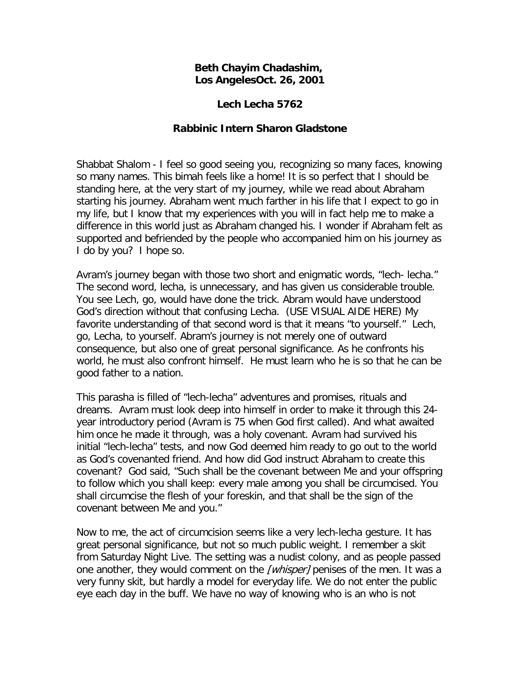## **Beth Chayim Chadashim, Los AngelesOct. 26, 2001**

## **Lech Lecha 5762**

## **Rabbinic Intern Sharon Gladstone**

Shabbat Shalom - I feel so good seeing you, recognizing so many faces, knowing so many names. This bimah feels like a home! It is so perfect that I should be standing here, at the very start of my journey, while we read about Abraham starting his journey. Abraham went much farther in his life that I expect to go in my life, but I know that my experiences with you will in fact help me to make a difference in this world just as Abraham changed his. I wonder if Abraham felt as supported and befriended by the people who accompanied him on his journey as I do by you? I hope so.

Avram's journey began with those two short and enigmatic words, "lech- lecha." The second word, lecha, is unnecessary, and has given us considerable trouble. You see Lech, go, would have done the trick. Abram would have understood God's direction without that confusing Lecha. (USE VISUAL AIDE HERE) My favorite understanding of that second word is that it means "to yourself." Lech, go, Lecha, to yourself. Abram's journey is not merely one of outward consequence, but also one of great personal significance. As he confronts his world, he must also confront himself. He must learn who he is so that he can be good father to a nation.

This parasha is filled of "lech-lecha" adventures and promises, rituals and dreams. Avram must look deep into himself in order to make it through this 24 year introductory period (Avram is 75 when God first called). And what awaited him once he made it through, was a holy covenant. Avram had survived his initial "lech-lecha" tests, and now God deemed him ready to go out to the world as God's covenanted friend. And how did God instruct Abraham to create this covenant? God said, "Such shall be the covenant between Me and your offspring to follow which you shall keep: every male among you shall be circumcised. You shall circumcise the flesh of your foreskin, and that shall be the sign of the covenant between Me and you."

Now to me, the act of circumcision seems like a very lech-lecha gesture. It has great personal significance, but not so much public weight. I remember a skit from Saturday Night Live. The setting was a nudist colony, and as people passed one another, they would comment on the [whisper] penises of the men. It was a very funny skit, but hardly a model for everyday life. We do not enter the public eye each day in the buff. We have no way of knowing who is an who is not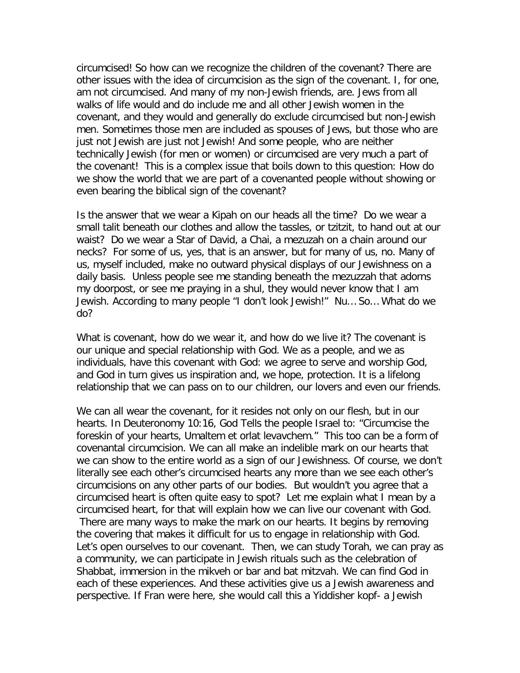circumcised! So how can we recognize the children of the covenant? There are other issues with the idea of circumcision as the sign of the covenant. I, for one, am not circumcised. And many of my non-Jewish friends, are. Jews from all walks of life would and do include me and all other Jewish women in the covenant, and they would and generally do exclude circumcised but non-Jewish men. Sometimes those men are included as spouses of Jews, but those who are just not Jewish are just not Jewish! And some people, who are neither technically Jewish (for men or women) or circumcised are very much a part of the covenant! This is a complex issue that boils down to this question: How do we show the world that we are part of a covenanted people without showing or even bearing the biblical sign of the covenant?

Is the answer that we wear a Kipah on our heads all the time? Do we wear a small talit beneath our clothes and allow the tassles, or tzitzit, to hand out at our waist? Do we wear a Star of David, a Chai, a mezuzah on a chain around our necks? For some of us, yes, that is an answer, but for many of us, no. Many of us, myself included, make no outward physical displays of our Jewishness on a daily basis. Unless people see me standing beneath the mezuzzah that adorns my doorpost, or see me praying in a shul, they would never know that I am Jewish. According to many people "I don't look Jewish!" Nu… So… What do we do?

What is covenant, how do we wear it, and how do we live it? The covenant is our unique and special relationship with God. We as a people, and we as individuals, have this covenant with God: we agree to serve and worship God, and God in turn gives us inspiration and, we hope, protection. It is a lifelong relationship that we can pass on to our children, our lovers and even our friends.

We can all wear the covenant, for it resides not only on our flesh, but in our hearts. In Deuteronomy 10:16, God Tells the people Israel to: "Circumcise the foreskin of your hearts, Umaltem et orlat levavchem." This too can be a form of covenantal circumcision. We can all make an indelible mark on our hearts that we can show to the entire world as a sign of our Jewishness. Of course, we don't literally see each other's circumcised hearts any more than we see each other's circumcisions on any other parts of our bodies. But wouldn't you agree that a circumcised heart is often quite easy to spot? Let me explain what I mean by a circumcised heart, for that will explain how we can live our covenant with God. There are many ways to make the mark on our hearts. It begins by removing the covering that makes it difficult for us to engage in relationship with God. Let's open ourselves to our covenant. Then, we can study Torah, we can pray as a community, we can participate in Jewish rituals such as the celebration of Shabbat, immersion in the mikveh or bar and bat mitzvah. We can find God in each of these experiences. And these activities give us a Jewish awareness and perspective. If Fran were here, she would call this a Yiddisher kopf- a Jewish